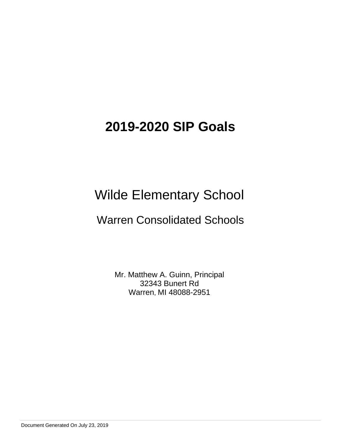# Wilde Elementary School

## Warren Consolidated Schools

Mr. Matthew A. Guinn, Principal 32343 Bunert Rd Warren, MI 48088-2951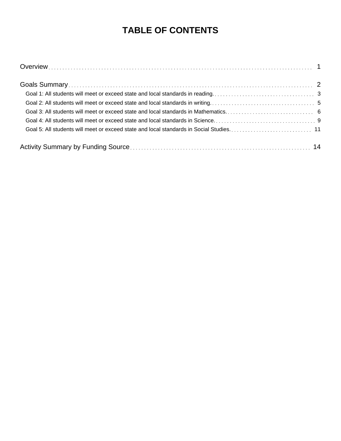## **TABLE OF CONTENTS**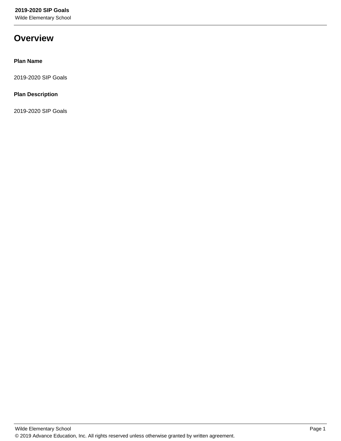Wilde Elementary School

## **Overview**

#### **Plan Name**

2019-2020 SIP Goals

#### **Plan Description**

2019-2020 SIP Goals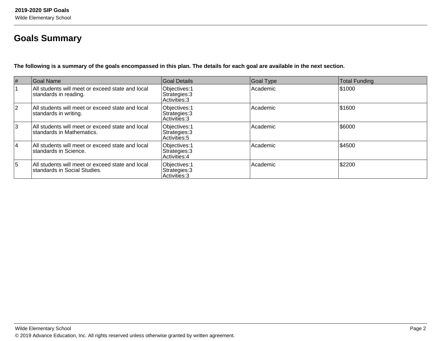## **Goals Summary**

**The following is a summary of the goals encompassed in this plan. The details for each goal are available in the next section.**

| $\#$      | Goal Name                                                                        | Goal Details                                     | <b>Goal Type</b> | Total Funding |
|-----------|----------------------------------------------------------------------------------|--------------------------------------------------|------------------|---------------|
|           | All students will meet or exceed state and local<br>standards in reading.        | Objectives: 1<br>Strategies: 3<br>Activities: 3  | Academic         | 51000         |
| <u> 2</u> | All students will meet or exceed state and local<br>standards in writing.        | Objectives: 1<br>Strategies: 3<br>Activities: 3  | Academic         | \$1600        |
| 3         | All students will meet or exceed state and local<br>standards in Mathematics.    | Objectives: 1<br>Strategies: 3<br> Activities: 5 | Academic         | 56000         |
| 14        | All students will meet or exceed state and local<br>standards in Science.        | Objectives: 1<br>Strategies: 3<br>Activities: 4  | Academic         | \$4500        |
| 5         | All students will meet or exceed state and local<br>standards in Social Studies. | Objectives: 1<br>Strategies: 3<br>Activities: 3  | Academic         | \$2200        |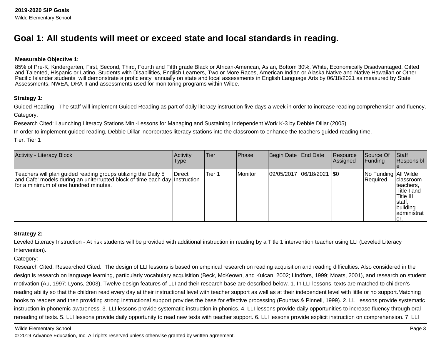## **Goal 1: All students will meet or exceed state and local standards in reading.**

#### **Measurable Objective 1:**

85% of Pre-K, Kindergarten, First, Second, Third, Fourth and Fifth grade Black or African-American, Asian, Bottom 30%, White, Economically Disadvantaged, Gifted and Talented, Hispanic or Latino, Students with Disabilities, English Learners, Two or More Races, American Indian or Alaska Native and Native Hawaiian or OtherPacific Islander students will demonstrate a proficiency annually on state and local assessments in English Language Arts by 06/18/2021 as measured by State Assessments, NWEA, DRA II and assessments used for monitoring programs within Wilde.

#### **Strategy 1:**

Guided Reading - The staff will implement Guided Reading as part of daily literacy instruction five days a week in order to increase reading comprehension and fluency.Category:

Research Cited: Launching Literacy Stations Mini-Lessons for Managing and Sustaining Independent Work K-3 by Debbie Dillar (2005)

In order to implement guided reading, Debbie Dillar incorporates literacy stations into the classroom to enhance the teachers guided reading time.

Tier: Tier 1

| <b>Activity - Literacy Block</b>                                                                                                                                                       | Activity<br>Type | ∣Tier  | <b>Phase</b> | Begin Date End Date |                           | Resource<br>Assigned | Source Of<br><b>Funding</b>         | <b>Staff</b><br>Responsibl                                                                         |
|----------------------------------------------------------------------------------------------------------------------------------------------------------------------------------------|------------------|--------|--------------|---------------------|---------------------------|----------------------|-------------------------------------|----------------------------------------------------------------------------------------------------|
| Teachers will plan guided reading groups utilizing the Daily 5<br>and Cafe' models during an uniterrupted block of time each day Instruction<br>Ifor a minimum of one hundred minutes. | Direct           | Tier 1 | Monitor      |                     | 09/05/2017 06/18/2021 \$0 |                      | No Funding   All Wilde<br> Required | classroom<br>Iteachers,<br>Title I and<br>Title III<br> staff.<br>building<br>ladministrat<br>lor. |

#### **Strategy 2:**

Leveled Literacy Instruction - At risk students will be provided with additional instruction in reading by a Title 1 intervention teacher using LLI (Leveled LiteracyIntervention).

Category:

Research Cited: Researched Cited: The design of LLI lessons is based on empirical research on reading acquisition and reading difficulties. Also considered in thedesign is research on language learning, particularly vocabulary acquisition (Beck, McKeown, and Kulcan. 2002; Lindfors, 1999; Moats, 2001), and research on studentmotivation (Au, 1997; Lyons, 2003). Twelve design features of LLI and their research base are described below. 1. In LLI lessons, texts are matched to children'sreading ability so that the children read every day at their instructional level with teacher support as well as at their independent level with little or no support.Matchingbooks to readers and then providing strong instructional support provides the base for effective processing (Fountas & Pinnell, 1999). 2. LLI lessons provide systematicinstruction in phonemic awareness. 3. LLI lessons provide systematic instruction in phonics. 4. LLI lessons provide daily opportunities to increase fluency through oralrereading of texts. 5. LLI lessons provide daily opportunity to read new texts with teacher support. 6. LLI lessons provide explicit instruction on comprehension. 7. LLI

Wilde Elementary School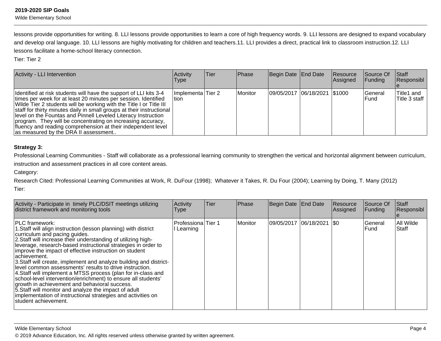Wilde Elementary School

lessons provide opportunities for writing. 8. LLI lessons provide opportunities to learn a core of high frequency words. 9. LLI lessons are designed to expand vocabularyand develop oral language. 10. LLI lessons are highly motivating for children and teachers.11. LLI provides a direct, practical link to classroom instruction.12. LLI lessons facilitate a home-school literacy connection.

Tier: Tier 2

| Activity - LLI Intervention                                                                                                                                                                                                                                                                                                                                                                                                                                                                                                 | Activity<br><b>Type</b>      | lTier | Phase   | Begin Date End Date            | Resource<br><b>Assigned</b> | Source Of<br><b>Funding</b> | Staff<br>Responsibl         |
|-----------------------------------------------------------------------------------------------------------------------------------------------------------------------------------------------------------------------------------------------------------------------------------------------------------------------------------------------------------------------------------------------------------------------------------------------------------------------------------------------------------------------------|------------------------------|-------|---------|--------------------------------|-----------------------------|-----------------------------|-----------------------------|
| Identified at risk students will have the support of LLI kits 3-4<br>times per week for at least 20 minutes per session. Identified<br>Wilde Tier 2 students will be working with the Title I or Title III<br>staff for thirty minutes daily in small groups at their instructional<br>level on the Fountas and Pinnell Leveled Literacy Instruction<br>program. They will be concentrating on increasing accuracy,<br>fluency and reading comprehension at their independent level<br>as measured by the DRA II assessment | Ilmplementa Tier 2<br>ltion. |       | Monitor | 09/05/2017  06/18/2021  \$1000 |                             | <b>IGeneral</b><br>IFund    | Title1 and<br>Title 3 staff |

#### **Strategy 3:**

Professional Learning Communities - Staff will collaborate as a professional learning community to strengthen the vertical and horizontal alignment between curriculum,

instruction and assessment practices in all core content areas.

Category:

Research Cited: Professional Learning Communities at Work, R. DuFour (1998); Whatever it Takes, R. Du Four (2004); Learning by Doing, T. Many (2012)Tier:

| Activity - Participate in timely PLC/DSIT meetings utilizing<br>district framework and monitoring tools                                                                                                                                                                                                                                                                                                                                                                                                                                                                                                                                                                                                                                                                                                      | Activity<br>Type                        | Tier | Phase   | Begin Date End Date |            | Resource<br>Assigned | Source Of<br>Funding | <b>Staff</b><br>Responsibl |
|--------------------------------------------------------------------------------------------------------------------------------------------------------------------------------------------------------------------------------------------------------------------------------------------------------------------------------------------------------------------------------------------------------------------------------------------------------------------------------------------------------------------------------------------------------------------------------------------------------------------------------------------------------------------------------------------------------------------------------------------------------------------------------------------------------------|-----------------------------------------|------|---------|---------------------|------------|----------------------|----------------------|----------------------------|
| <b>IPLC</b> framework:<br>1. Staff will align instruction (lesson planning) with district<br>curriculum and pacing guides.<br>2. Staff will increase their understanding of utilizing high-<br>leverage, research-based instructional strategies in order to<br>improve the impact of effective instruction on student<br>lachievement.<br>3. Staff will create, implement and analyze building and district-<br>level common assessments' results to drive instruction.<br>4. Staff will implement a MTSS process (plan for in-class and<br>school-level intervention/enrichment) to ensure all students'<br>growth in achievement and behavioral success.<br>5. Staff will monitor and analyze the impact of adult<br>implementation of instructional strategies and activities on<br>student achievement. | <b>ProfessionalTier 1</b><br>l Learning |      | Monitor | 09/05/2017          | 06/18/2021 | 1\$0                 | General<br>lFund     | All Wilde<br>Staff         |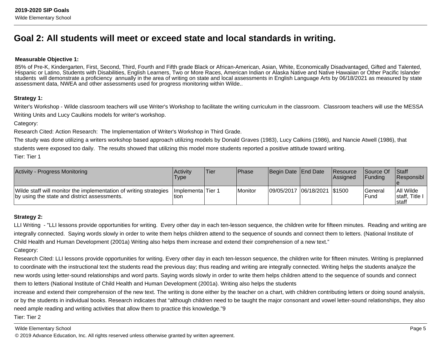## **Goal 2: All students will meet or exceed state and local standards in writing.**

#### **Measurable Objective 1:**

85% of Pre-K, Kindergarten, First, Second, Third, Fourth and Fifth grade Black or African-American, Asian, White, Economically Disadvantaged, Gifted and Talented, Hispanic or Latino, Students with Disabilities, English Learners, Two or More Races, American Indian or Alaska Native and Native Hawaiian or Other Pacific Islander students will demonstrate a proficiency annually in the area of writing on state and local assessments in English Language Arts by 06/18/2021 as measured by stateassessment data, NWEA and other assessments used for progress monitoring within Wilde..

#### **Strategy 1:**

Writer's Workshop - Wilde classroom teachers will use Writer's Workshop to facilitate the writing curriculum in the classroom. Classroom teachers will use the MESSAWriting Units and Lucy Caulkins models for writer's workshop.

Category:

Research Cited: Action Research: The Implementation of Writer's Workshop in Third Grade.

The study was done utilizing a writers workshop based approach utilizing models by Donald Graves (1983), Lucy Calkins (1986), and Nancie Atwell (1986), thatstudents were exposed too daily. The results showed that utilizing this model more students reported a positive attitude toward writing.Tier: Tier 1

| Activity - Progress Monitoring                                                                                    | Activity<br>Type           | 'Tier | l Phase | Begin Date End Date |                              | <b>Resource</b><br><b>Assigned</b> | <b>Source Of</b><br><b>IFunding</b> | <b>Staff</b><br><b>Responsibl</b>      |
|-------------------------------------------------------------------------------------------------------------------|----------------------------|-------|---------|---------------------|------------------------------|------------------------------------|-------------------------------------|----------------------------------------|
| Wilde staff will monitor the implementation of writing strategies<br>by using the state and district assessments. | Ilmplementa Tier 1<br>tion |       | Monitor |                     | 09/05/2017 06/18/2021 \$1500 |                                    | lGeneral<br>l Fund                  | All Wilde<br>Istaff. Title I<br>Istaff |

#### **Strategy 2:**

LLI Writing - "LLI lessons provide opportunities for writing. Every other day in each ten-lesson sequence, the children write for fifteen minutes. Reading and writing are integrally connected. Saying words slowly in order to write them helps children attend to the sequence of sounds and connect them to letters. (National Institute ofChild Health and Human Development (2001a) Writing also helps them increase and extend their comprehension of a new text."Category:

Research Cited: LLI lessons provide opportunities for writing. Every other day in each ten-lesson sequence, the children write for fifteen minutes. Writing is preplanned to coordinate with the instructional text the students read the previous day; thus reading and writing are integrally connected. Writing helps the students analyze thenew words using letter-sound relationships and word parts. Saying words slowly in order to write them helps children attend to the sequence of sounds and connectthem to letters (National Institute of Child Health and Human Development (2001a). Writing also helps the students

increase and extend their comprehension of the new text. The writing is done either by the teacher on a chart, with children contributing letters or doing sound analysis,or by the students in individual books. Research indicates that "although children need to be taught the major consonant and vowel letter-sound relationships, they alsoneed ample reading and writing activities that allow them to practice this knowledge."9

Tier: Tier 2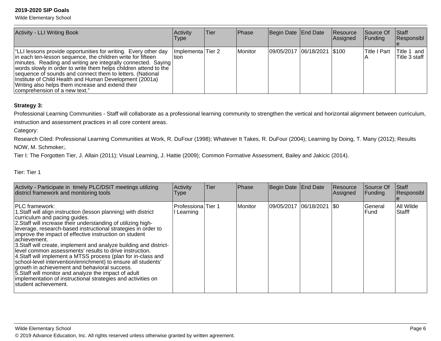Wilde Elementary School

| <b>Activity - LLI Writing Book</b>                                                                                                                                                                                                                                                                                                                                                                                                                                                  | Activity<br>Type            | lTier. | Phase   | Begin Date End Date           | Resource<br>Assigned | Source Of<br> Funding | Staff<br>Responsibl          |
|-------------------------------------------------------------------------------------------------------------------------------------------------------------------------------------------------------------------------------------------------------------------------------------------------------------------------------------------------------------------------------------------------------------------------------------------------------------------------------------|-----------------------------|--------|---------|-------------------------------|----------------------|-----------------------|------------------------------|
| "LLI lessons provide opportunities for writing. Every other day<br>in each ten-lesson sequence, the children write for fifteen<br>  minutes. Reading and writing are integrally connected. Saying<br>words slowly in order to write them helps children attend to the<br>sequence of sounds and connect them to letters. (National<br>Institute of Child Health and Human Development (2001a)<br>Writing also helps them increase and extend their<br>comprehension of a new text." | Implementa Tier 2<br>ltion. |        | Monitor | 09/05/2017  06/18/2021  \$100 |                      | lTitle I Part         | Title 1 and<br>Title 3 staff |

#### **Strategy 3:**

Professional Learning Communities - Staff will collaborate as a professional learning community to strengthen the vertical and horizontal alignment between curriculum, instruction and assessment practices in all core content areas.

Category:

Research Cited: Professional Learning Communities at Work, R. DuFour (1998); Whatever It Takes, R. DuFour (2004); Learning by Doing, T. Many (2012); ResultsNOW, M. Schmoker;.

Tier I: The Forgotten Tier, J. Allain (2011); Visual Learning, J. Hattie (2009); Common Formative Assessment, Bailey and Jakicic (2014).

Tier: Tier 1

| Activity - Participate in timely PLC/DSIT meetings utilizing<br>district framework and monitoring tools                                                                                                                                                                                                                                                                                                                                                                                                                                                                                                                                                                                                                                                                                                      | Activity<br>Type                 | lTier. | Phase   | Begin Date   End Date |            | <b>Resource</b><br>Assigned | Source Of<br>Funding | <b>Staff</b><br>Responsibl |
|--------------------------------------------------------------------------------------------------------------------------------------------------------------------------------------------------------------------------------------------------------------------------------------------------------------------------------------------------------------------------------------------------------------------------------------------------------------------------------------------------------------------------------------------------------------------------------------------------------------------------------------------------------------------------------------------------------------------------------------------------------------------------------------------------------------|----------------------------------|--------|---------|-----------------------|------------|-----------------------------|----------------------|----------------------------|
| <b>IPLC</b> framework:<br>1. Staff will align instruction (lesson planning) with district<br>curriculum and pacing guides.<br>2. Staff will increase their understanding of utilizing high-<br>leverage, research-based instructional strategies in order to<br>improve the impact of effective instruction on student<br>lachievement.<br>3. Staff will create, implement and analyze building and district-<br>level common assessments' results to drive instruction.<br>4. Staff will implement a MTSS process (plan for in-class and<br>school-level intervention/enrichment) to ensure all students'<br>growth in achievement and behavioral success.<br>5. Staff will monitor and analyze the impact of adult<br>implementation of instructional strategies and activities on<br>student achievement. | Professiona Tier 1<br>I Learning |        | Monitor | 09/05/2017            | 06/18/2021 | 1\$0                        | General<br>lFund.    | All Wilde<br><b>Stafff</b> |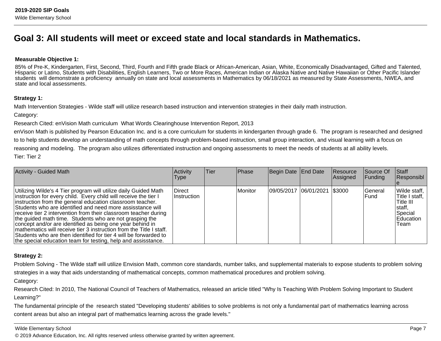### **Goal 3: All students will meet or exceed state and local standards in Mathematics.**

#### **Measurable Objective 1:**

85% of Pre-K, Kindergarten, First, Second, Third, Fourth and Fifth grade Black or African-American, Asian, White, Economically Disadvantaged, Gifted and Talented, Hispanic or Latino, Students with Disabilities, English Learners, Two or More Races, American Indian or Alaska Native and Native Hawaiian or Other Pacific Islanderstudents will demonstrate a proficiency annually on state and local assessments in Mathematics by 06/18/2021 as measured by State Assessments, NWEA, andstate and local assessments.

#### **Strategy 1:**

Math Intervention Strategies - Wilde staff will utilize research based instruction and intervention strategies in their daily math instruction.

Category:

Research Cited: enVision Math curriculum What Words Clearinghouse Intervention Report, 2013

enVison Math is published by Pearson Education Inc. and is a core curriculum for students in kindergarten through grade 6. The program is researched and designedto to help students develop an understanding of math concepts through problem-based instruction, small group interaction, and visual learning with a focus onreasoning and modeling. The program also utilizes differentiated instruction and ongoing assessments to meet the needs of students at all ability levels. Tier: Tier 2

| <b>Activity - Guided Math</b>                                                                                                                                                                                                                                                                                                                                                                                                                                                                                                                                                                                                                                         | Activity<br><b>Type</b> | Tier | <b>Phase</b> | Begin Date End Date            | Resource<br>Assigned | Source Of<br> Funding | <b>Staff</b><br>Responsibl                                                               |
|-----------------------------------------------------------------------------------------------------------------------------------------------------------------------------------------------------------------------------------------------------------------------------------------------------------------------------------------------------------------------------------------------------------------------------------------------------------------------------------------------------------------------------------------------------------------------------------------------------------------------------------------------------------------------|-------------------------|------|--------------|--------------------------------|----------------------|-----------------------|------------------------------------------------------------------------------------------|
| Utilizing Wilde's 4 Tier program will utilize daily Guided Math<br>instruction for every child. Every child will receive the tier I<br>instruction from the general education classroom teacher.<br>Students who are identified and need more assisstance will<br>receive tier 2 intervention from their classroom teacher during<br>the guided math time. Students who are not grasping the<br>concept and/or are identified as being one year behind in<br>mathematics will receive tier 3 instruction from the Title I staff.<br>Students who are then identified for tier 4 will be forwarded to<br>the special education team for testing, help and assisstance. | Direct<br>Instruction   |      | Monitor      | 09/05/2017  06/01/2021  \$3000 |                      | lGeneral<br>lFund     | Wilde staff,<br> Title I staff,<br>lTitle III<br>Istaff.<br>Special<br>Education<br>Team |

#### **Strategy 2:**

Problem Solving - The Wilde staff will utilize Envision Math, common core standards, number talks, and supplemental materials to expose students to problem solvingstrategies in a way that aids understanding of mathematical concepts, common mathematical procedures and problem solving.

Category:

Research Cited: In 2010, The National Council of Teachers of Mathematics, released an article titled "Why Is Teaching With Problem Solving Important to Student Learning?"

The fundamental principle of the research stated "Developing students' abilities to solve problems is not only a fundamental part of mathematics learning acrosscontent areas but also an integral part of mathematics learning across the grade levels."

#### Wilde Elementary School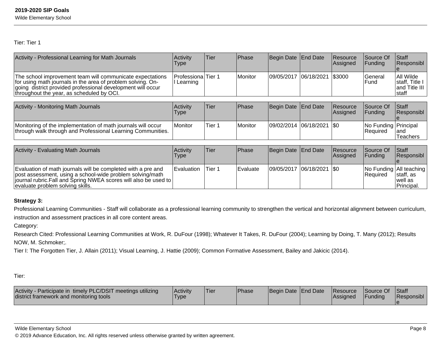Wilde Elementary School

Tier: Tier 1

| Activity - Professional Learning for Math Journals                                                                                                                                                                                   | Activity<br>Type        | Tier   | Phase    | Begin Date | End Date   | Resource<br>Assigned | Source Of<br>Funding             | Staff<br>Responsibl                                           |
|--------------------------------------------------------------------------------------------------------------------------------------------------------------------------------------------------------------------------------------|-------------------------|--------|----------|------------|------------|----------------------|----------------------------------|---------------------------------------------------------------|
| The school improvement team will communicate expectations<br>for using math journals in the area of problem solving. On-<br>going district provided professional development will occur<br>throughout the year, as scheduled by OCI. | Professiona<br>Learning | Tier 1 | Monitor  | 09/05/2017 | 06/18/2021 | \$3000               | General<br>Fund                  | All Wilde<br>staff, Title I<br>and Title III<br>staff         |
|                                                                                                                                                                                                                                      |                         |        |          |            |            |                      |                                  |                                                               |
| <b>Activity - Monitoring Math Journals</b>                                                                                                                                                                                           | Activity<br>Type        | Tier   | Phase    | Begin Date | End Date   | Resource<br>Assigned | Source Of<br>Funding             | <b>Staff</b><br> Responsibl                                   |
| Monitoring of the implementation of math journals will occur<br>through walk through and Professional Learning Communities.                                                                                                          | Monitor                 | Tier 1 | Monitor  | 09/02/2014 | 06/18/2021 | I\$0                 | No Funding Principal<br>Required | land<br><b>Teachers</b>                                       |
|                                                                                                                                                                                                                                      |                         |        |          |            |            |                      |                                  |                                                               |
| <b>Activity - Evaluating Math Journals</b>                                                                                                                                                                                           | Activity<br>Type        | Tier   | Phase    | Begin Date | End Date   | Resource<br>Assigned | Source Of<br>Funding             | <b>Staff</b><br>Responsibl                                    |
| Evaluation of math journals will be completed with a pre and<br>post assessment, using a school-wide problem solving/math<br>journal rubric.Fall and Spring NWEA scores will also be used to<br>evaluate problem solving skills.     | Evaluation              | Tier 1 | Evaluate | 09/05/2017 | 06/18/2021 | 1\$0                 | Required                         | No Funding All teaching<br>staff, as<br>well as<br>Principal. |

#### **Strategy 3:**

Professional Learning Communities - Staff will collaborate as a professional learning community to strengthen the vertical and horizontal alignment between curriculum, instruction and assessment practices in all core content areas.

Category:

Research Cited: Professional Learning Communities at Work, R. DuFour (1998); Whatever It Takes, R. DuFour (2004); Learning by Doing, T. Many (2012); ResultsNOW, M. Schmoker;.

Tier I: The Forgotten Tier, J. Allain (2011); Visual Learning, J. Hattie (2009); Common Formative Assessment, Bailey and Jakicic (2014).

Tier:

| Activity - Participate in timely PLC/DSIT meetings utilizing<br>district framework and monitoring tools | <b>Activity</b><br>Type | <sup>1</sup> Tier | <sup>I</sup> Phase | Begin Date End Date | <b>Resource</b><br><b>Assigned</b> | Source Of<br>Funding | <b>Staff</b><br>Responsibl |
|---------------------------------------------------------------------------------------------------------|-------------------------|-------------------|--------------------|---------------------|------------------------------------|----------------------|----------------------------|
|                                                                                                         |                         |                   |                    |                     |                                    |                      |                            |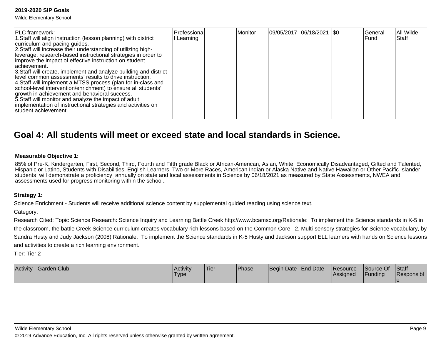Wilde Elementary School

| <b>PLC</b> framework:<br>1. Staff will align instruction (lesson planning) with district<br>curriculum and pacing guides.<br>2. Staff will increase their understanding of utilizing high-<br>leverage, research-based instructional strategies in order to<br>improve the impact of effective instruction on student<br>lachievement.<br>3. Staff will create, implement and analyze building and district-<br>level common assessments' results to drive instruction.<br>4. Staff will implement a MTSS process (plan for in-class and<br>school-level intervention/enrichment) to ensure all students'<br>growth in achievement and behavioral success. | Professiona<br>Learning | Monitor | 09/05/2017 06/18/2021  \$0 | General<br>lFund | All Wilde<br>Staff |
|------------------------------------------------------------------------------------------------------------------------------------------------------------------------------------------------------------------------------------------------------------------------------------------------------------------------------------------------------------------------------------------------------------------------------------------------------------------------------------------------------------------------------------------------------------------------------------------------------------------------------------------------------------|-------------------------|---------|----------------------------|------------------|--------------------|
| 5. Staff will monitor and analyze the impact of adult<br>implementation of instructional strategies and activities on<br>Istudent achievement.                                                                                                                                                                                                                                                                                                                                                                                                                                                                                                             |                         |         |                            |                  |                    |

### **Goal 4: All students will meet or exceed state and local standards in Science.**

#### **Measurable Objective 1:**

85% of Pre-K, Kindergarten, First, Second, Third, Fourth and Fifth grade Black or African-American, Asian, White, Economically Disadvantaged, Gifted and Talented, Hispanic or Latino, Students with Disabilities, English Learners, Two or More Races, American Indian or Alaska Native and Native Hawaiian or Other Pacific Islanderstudents will demonstrate a proficiency annually on state and local assessments in Science by 06/18/2021 as measured by State Assessments, NWEA andassessments used for progress monitoring within the school..

#### **Strategy 1:**

Science Enrichment - Students will receive additional science content by supplemental guided reading using science text.

#### Category:

Research Cited: Topic Science Research: Science Inquiry and Learning Battle Creek http://www.bcamsc.org/Rationale: To implement the Science standards in K-5 in the classroom, the battle Creek Science curriculum creates vocabulary rich lessons based on the Common Core. 2. Multi-sensory strategies for Science vocabulary, bySandra Husty and Judy Jackson (2008) Rationale: To implement the Science standards in K-5 Husty and Jackson support ELL learners with hands on Science lessonsand activities to create a rich learning environment.

Tier: Tier 2

| Activity - Garden Club | <b>Activity</b><br>Type | Tier | <b>Phase</b> | Begin Date End Date | Resource<br><b>IAssigned</b> | Source Of<br>Funding | Staff<br>Responsibl |
|------------------------|-------------------------|------|--------------|---------------------|------------------------------|----------------------|---------------------|
|                        |                         |      |              |                     |                              |                      |                     |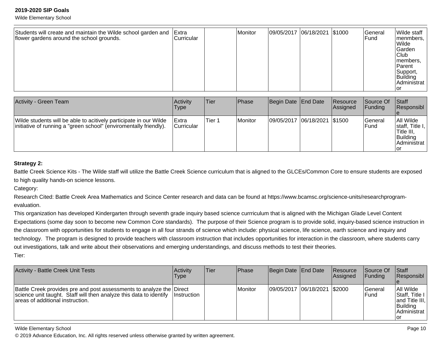Wilde Elementary School

| Students will create and maintain the Wilde school garden and<br>flower gardens around the school grounds. | Extra<br>Curricular |  | Monitor | 09/05/2017 06/18/2021 \$1000 |  |  | <b>General</b><br><b>Fund</b> | Wilde staff<br>menmbers,<br>Wilde<br><b>Garden</b><br> Club<br>members,<br><b>Parent</b><br>Support,<br>Building<br>Administrat<br>Tor |
|------------------------------------------------------------------------------------------------------------|---------------------|--|---------|------------------------------|--|--|-------------------------------|----------------------------------------------------------------------------------------------------------------------------------------|
|------------------------------------------------------------------------------------------------------------|---------------------|--|---------|------------------------------|--|--|-------------------------------|----------------------------------------------------------------------------------------------------------------------------------------|

| <b>Activity - Green Team</b>                                                                                                           | <b>Activity</b><br>Type            | <b>Tier</b> | Phase   | Begin Date End Date          | Resource<br><b>Assigned</b> | <b>Source Of</b><br> Funding | <b>Staff</b><br>Responsibl                                                    |
|----------------------------------------------------------------------------------------------------------------------------------------|------------------------------------|-------------|---------|------------------------------|-----------------------------|------------------------------|-------------------------------------------------------------------------------|
| Wilde students will be able to acitively participate in our Wilde<br>initiative of running a "green school" (enviromentally friendly). | <b>IExtra</b><br><b>Curricular</b> | Tier 1      | Monitor | 09/05/2017 06/18/2021 \$1500 |                             | lGeneral<br>l Fund           | All Wilde<br>staff, Title I,<br>Title III,<br>Building<br>Administrat<br>l or |

#### **Strategy 2:**

Battle Creek Science Kits - The Wilde staff will utilize the Battle Creek Science curriculum that is aligned to the GLCEs/Common Core to ensure students are exposedto high quality hands-on science lessons.

Category:

Research Cited: Battle Creek Area Mathematics and Scince Center research and data can be found at https://www.bcamsc.org/science-units/researchprogramevaluation.

This organization has developed Kindergarten through seventh grade inquiry based science currriculum that is aligned with the Michigan Glade Level ContentExpectations (some day soon to become new Common Core standards). The purpose of their Science program is to provide solid, inquiry-based science instruction inthe classroom with opportunities for students to engage in all four strands of science which include: physical science, life science, earth science and inquiry and technology. The program is designed to provide teachers with classroom instruction that includes opportunities for interaction in the classroom, where students carryout investigations, talk and write about their observations and emerging understandings, and discuss methods to test their theories. Tier:

| <b>Activity - Battle Creek Unit Tests</b>                                                                                                                                      | Activitv<br>Type | ∣Tier | <b>IPhase</b>  | Begin Date End Date          | Resource<br>Assigned | Source Of<br><b>Funding</b> | <b>Staff</b><br>Responsibl                                                               |
|--------------------------------------------------------------------------------------------------------------------------------------------------------------------------------|------------------|-------|----------------|------------------------------|----------------------|-----------------------------|------------------------------------------------------------------------------------------|
| Battle Creek provides pre and post assessments to analyze the Direct<br>science unit taught. Staff will then analyze this data to identify<br>areas of additional instruction. | ∐nstruction      |       | <b>Monitor</b> | 09/05/2017 06/18/2021 \$2000 |                      | lGeneral<br>lFund           | All Wilde<br>Staff, Title I<br>$ $ and Title III, $ $<br>Building<br>IAdministrat<br>Tor |

Wilde Elementary School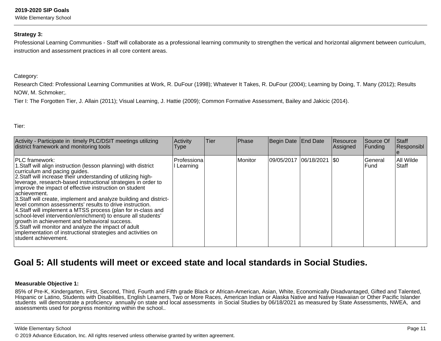Wilde Elementary School

#### **Strategy 3:**

Professional Learning Communities - Staff will collaborate as a professional learning community to strengthen the vertical and horizontal alignment between curriculum,instruction and assessment practices in all core content areas.

#### Category:

Research Cited: Professional Learning Communities at Work, R. DuFour (1998); Whatever It Takes, R. DuFour (2004); Learning by Doing, T. Many (2012); ResultsNOW, M. Schmoker;.

Tier I: The Forgotten Tier, J. Allain (2011); Visual Learning, J. Hattie (2009); Common Formative Assessment, Bailey and Jakicic (2014).

Tier:

| Activity - Participate in timely PLC/DSIT meetings utilizing<br>district framework and monitoring tools                                                                                                                                                                                                                                                                                                                                                                                                                                                                                                                                                                                                                                                                                                      | Activity<br>Type        | Tier | Phase   | Begin Date End Date    | Resource<br>Assigned | Source Of<br>Funding | Staff<br>Responsibl |
|--------------------------------------------------------------------------------------------------------------------------------------------------------------------------------------------------------------------------------------------------------------------------------------------------------------------------------------------------------------------------------------------------------------------------------------------------------------------------------------------------------------------------------------------------------------------------------------------------------------------------------------------------------------------------------------------------------------------------------------------------------------------------------------------------------------|-------------------------|------|---------|------------------------|----------------------|----------------------|---------------------|
| <b>IPLC</b> framework:<br>1. Staff will align instruction (lesson planning) with district<br>curriculum and pacing guides.<br>2. Staff will increase their understanding of utilizing high-<br>leverage, research-based instructional strategies in order to<br>improve the impact of effective instruction on student<br>lachievement.<br>3. Staff will create, implement and analyze building and district-<br>level common assessments' results to drive instruction.<br>4. Staff will implement a MTSS process (plan for in-class and<br>school-level intervention/enrichment) to ensure all students'<br>growth in achievement and behavioral success.<br>5. Staff will monitor and analyze the impact of adult<br>implementation of instructional strategies and activities on<br>student achievement. | Professiona<br>Learning |      | Monitor | 09/05/2017  06/18/2021 | 1\$0                 | General<br>lFund.    | All Wilde<br>Staff  |

### **Goal 5: All students will meet or exceed state and local standards in Social Studies.**

#### **Measurable Objective 1:**

85% of Pre-K, Kindergarten, First, Second, Third, Fourth and Fifth grade Black or African-American, Asian, White, Economically Disadvantaged, Gifted and Talented, Hispanic or Latino, Students with Disabilities, English Learners, Two or More Races, American Indian or Alaska Native and Native Hawaiian or Other Pacific Islander students will demonstrate a proficiency annually on state and local assessments in Social Studies by 06/18/2021 as measured by State Assessments, NWEA, andassessments used for porgress monitoring within the school..

Wilde Elementary School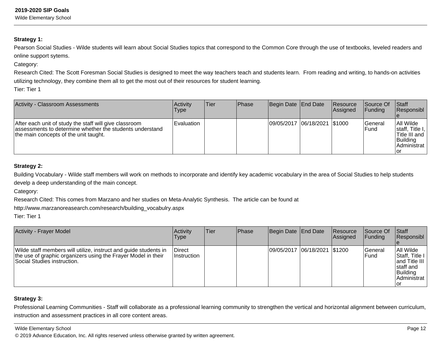Wilde Elementary School

#### **Strategy 1:**

Pearson Social Studies - Wilde students will learn about Social Studies topics that correspond to the Common Core through the use of textbooks, leveled readers and online support sytems.

Category:

Research Cited: The Scott Foresman Social Studies is designed to meet the way teachers teach and students learn. From reading and writing, to hands-on activitiesutilizing technology, they combine them all to get the most out of their resources for student learning.

Tier: Tier 1

| <b>Activity - Classroom Assessments</b>                                                                                                                     | <b>Activity</b><br><b>Type</b> | lTier. | <b>IPhase</b> | Begin Date   End Date        | Resource<br><b>Assigned</b> | <b>Source Of</b><br>IFundina | <b>Staff</b><br>Responsibl                                                      |
|-------------------------------------------------------------------------------------------------------------------------------------------------------------|--------------------------------|--------|---------------|------------------------------|-----------------------------|------------------------------|---------------------------------------------------------------------------------|
| After each unit of study the staff will give classroom<br>assessments to determine whether the students understand<br>the main concepts of the unit taught. | <b>Evaluation</b>              |        |               | 09/05/2017 06/18/2021 \$1000 |                             | lGeneral<br>IFund            | All Wilde<br>staff, Title I,<br>Title III and<br>Building<br>Administrat<br>lor |

#### **Strategy 2:**

Building Vocabulary - Wilde staff members will work on methods to incorporate and identify key academic vocabulary in the area of Social Studies to help studentsdevelp a deep understanding of the main concept.

Category:

Research Cited: This comes from Marzano and her studies on Meta-Analytic Synthesis. The article can be found at

http://www.marzanoreasearch.com/research/building\_vocabulry.aspx

Tier: Tier 1

| <b>Activity - Frayer Model</b>                                                                                                                                   | Activity<br>Type                     | lTier. | Phase | Begin Date   End Date          | Resource<br><b>Assigned</b> | <b>Source Of</b><br>IFundina | Staff<br>Responsibl                                                                             |
|------------------------------------------------------------------------------------------------------------------------------------------------------------------|--------------------------------------|--------|-------|--------------------------------|-----------------------------|------------------------------|-------------------------------------------------------------------------------------------------|
| Wilde staff members will utilize, instruct and guide students in<br>the use of graphic organizers using the Frayer Model in their<br>Social Studies instruction. | <b>IDirect</b><br><i>Instruction</i> |        |       | 09/05/2017  06/18/2021  \$1200 |                             | lGeneral<br>IFund            | All Wilde<br>IStaff. Title I<br>land Title III<br>Istaff and<br>Building<br>Administrat<br>l or |

#### **Strategy 3:**

Professional Learning Communities - Staff will collaborate as a professional learning community to strengthen the vertical and horizontal alignment between curriculum,instruction and assessment practices in all core content areas.

#### Wilde Elementary School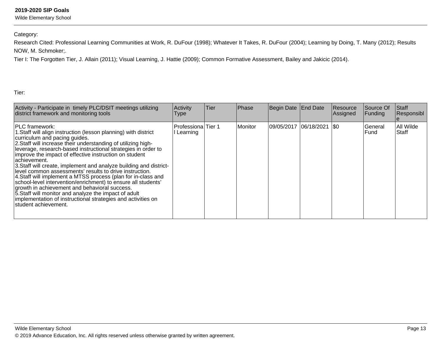Wilde Elementary School

Category:

Research Cited: Professional Learning Communities at Work, R. DuFour (1998); Whatever It Takes, R. DuFour (2004); Learning by Doing, T. Many (2012); ResultsNOW, M. Schmoker;.

Tier I: The Forgotten Tier, J. Allain (2011); Visual Learning, J. Hattie (2009); Common Formative Assessment, Bailey and Jakicic (2014).

Tier:

| Activity - Participate in timely PLC/DSIT meetings utilizing<br>district framework and monitoring tools                                                                                                                                                                                                                                                                                                                                                                                                                                                                                                                                                                                                                                                                                                    | Activity<br>Type                  | <b>Tier</b> | <b>Phase</b> | Begin Date End Date    | Resource<br>Assigned | Source Of<br>Funding | Staff<br>Responsibl |
|------------------------------------------------------------------------------------------------------------------------------------------------------------------------------------------------------------------------------------------------------------------------------------------------------------------------------------------------------------------------------------------------------------------------------------------------------------------------------------------------------------------------------------------------------------------------------------------------------------------------------------------------------------------------------------------------------------------------------------------------------------------------------------------------------------|-----------------------------------|-------------|--------------|------------------------|----------------------|----------------------|---------------------|
| <b>PLC</b> framework:<br>1. Staff will align instruction (lesson planning) with district<br>curriculum and pacing guides.<br>2. Staff will increase their understanding of utilizing high-<br>leverage, research-based instructional strategies in order to<br>improve the impact of effective instruction on student<br>achievement.<br>3. Staff will create, implement and analyze building and district-<br>level common assessments' results to drive instruction.<br>4. Staff will implement a MTSS process (plan for in-class and<br>school-level intervention/enrichment) to ensure all students'<br>growth in achievement and behavioral success.<br>5. Staff will monitor and analyze the impact of adult<br>implementation of instructional strategies and activities on<br>student achievement. | Professiona Tier 1<br>II Learning |             | l Monitor    | 09/05/2017  06/18/2021 | 1\$0                 | General<br>lFund.    | All Wilde<br>Staff  |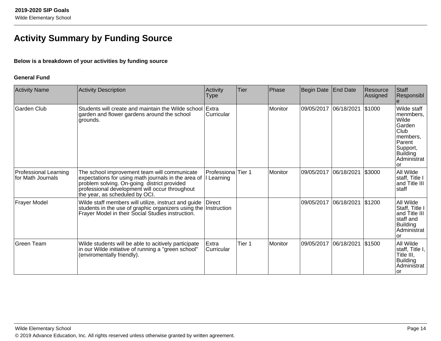## **Activity Summary by Funding Source**

#### **Below is a breakdown of your activities by funding source**

#### **General Fund**

| <b>Activity Name</b>                              | Activity Description                                                                                                                                                                                                                   | Activity<br><b>Type</b>   | Tier    | Phase          | Begin Date            | End Date | Resource<br>Assigned | Staff<br>Responsibl                                                                                                           |
|---------------------------------------------------|----------------------------------------------------------------------------------------------------------------------------------------------------------------------------------------------------------------------------------------|---------------------------|---------|----------------|-----------------------|----------|----------------------|-------------------------------------------------------------------------------------------------------------------------------|
| Garden Club                                       | Students will create and maintain the Wilde school<br>garden and flower gardens around the school<br>grounds.                                                                                                                          | Extra<br>Curricular       |         | <b>Monitor</b> | 09/05/2017 06/18/2021 |          | \$1000               | Wilde staff<br>menmbers,<br>Wilde<br>Garden<br>Club<br>members,<br>Parent<br>Support,<br><b>Building</b><br>Administrat<br>or |
| <b>Professional Learning</b><br>for Math Journals | The school improvement team will communicate<br>expectations for using math journals in the area of<br>problem solving. On-going district provided<br>professional development will occur throughout<br>the year, as scheduled by OCI. | Professiona<br>I Learning | lTier 1 | <b>Monitor</b> | 09/05/2017 06/18/2021 |          | \$3000               | All Wilde<br>staff, Title I<br>and Title III<br>staff                                                                         |
| <b>Frayer Model</b>                               | Wilde staff members will utilize, instruct and guide<br>students in the use of graphic organizers using the Instruction<br>Frayer Model in their Social Studies instruction.                                                           | <b>Direct</b>             |         |                | 09/05/2017 06/18/2021 |          | \$1200               | All Wilde<br>Staff, Title I<br>and Title III<br>staff and<br><b>Building</b><br>Administrat<br>or                             |
| Green Team                                        | Wilde students will be able to acitively participate<br>in our Wilde initiative of running a "green school"<br>(enviromentally friendly).                                                                                              | Extra<br>Curricular       | Tier 1  | Monitor        | 09/05/2017 06/18/2021 |          | \$1500               | All Wilde<br>staff, Title I, $ $<br>Title III,<br><b>Building</b><br>Administrat<br>Tor                                       |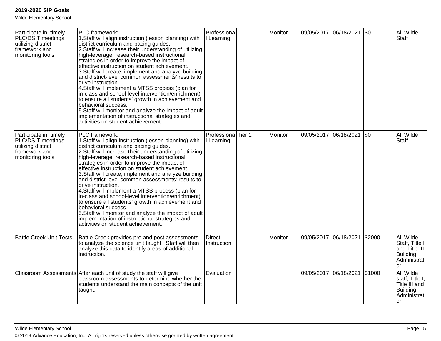Wilde Elementary School

| Participate in timely<br>PLC/DSIT meetings<br>utilizing district<br>framework and<br>monitoring tools | PLC framework:<br>1. Staff will align instruction (lesson planning) with<br>district curriculum and pacing guides.<br>2. Staff will increase their understanding of utilizing<br>high-leverage, research-based instructional<br>strategies in order to improve the impact of<br>effective instruction on student achievement.<br>3. Staff will create, implement and analyze building<br>and district-level common assessments' results to<br>drive instruction.<br>4. Staff will implement a MTSS process (plan for<br>in-class and school-level intervention/enrichment)<br>to ensure all students' growth in achievement and<br>behavioral success.<br>5. Staff will monitor and analyze the impact of adult<br>implementation of instructional strategies and<br>activities on student achievement. | Professiona<br>I Learning        | Monitor | 09/05/2017 06/18/2021 |            | $ 30\rangle$ | All Wilde<br><b>Staff</b>                                                             |
|-------------------------------------------------------------------------------------------------------|---------------------------------------------------------------------------------------------------------------------------------------------------------------------------------------------------------------------------------------------------------------------------------------------------------------------------------------------------------------------------------------------------------------------------------------------------------------------------------------------------------------------------------------------------------------------------------------------------------------------------------------------------------------------------------------------------------------------------------------------------------------------------------------------------------|----------------------------------|---------|-----------------------|------------|--------------|---------------------------------------------------------------------------------------|
| Participate in timely<br>PLC/DSIT meetings<br>utilizing district<br>framework and<br>monitoring tools | PLC framework:<br>1. Staff will align instruction (lesson planning) with<br>district curriculum and pacing guides.<br>2. Staff will increase their understanding of utilizing<br>high-leverage, research-based instructional<br>strategies in order to improve the impact of<br>effective instruction on student achievement.<br>3. Staff will create, implement and analyze building<br>and district-level common assessments' results to<br>drive instruction.<br>4. Staff will implement a MTSS process (plan for<br>in-class and school-level intervention/enrichment)<br>to ensure all students' growth in achievement and<br>behavioral success.<br>5. Staff will monitor and analyze the impact of adult<br>implementation of instructional strategies and<br>activities on student achievement. | Professiona Tier 1<br>I Learning | Monitor | 09/05/2017            | 06/18/2021 | \$0          | All Wilde<br><b>Staff</b>                                                             |
| <b>Battle Creek Unit Tests</b>                                                                        | Battle Creek provides pre and post assessments<br>to analyze the science unit taught. Staff will then<br>analyze this data to identify areas of additional<br>instruction.                                                                                                                                                                                                                                                                                                                                                                                                                                                                                                                                                                                                                              | <b>Direct</b><br>Instruction     | Monitor | 09/05/2017            | 06/18/2021 | \$2000       | All Wilde<br>Staff, Title I<br>and Title III,<br>Building<br>Administrat<br><b>or</b> |
|                                                                                                       | Classroom Assessments After each unit of study the staff will give<br>classroom assessments to determine whether the<br>students understand the main concepts of the unit<br>taught.                                                                                                                                                                                                                                                                                                                                                                                                                                                                                                                                                                                                                    | Evaluation                       |         | 09/05/2017 06/18/2021 |            | \$1000       | All Wilde<br>staff, Title I,<br>Title III and<br>Building<br>Administrat<br>lor       |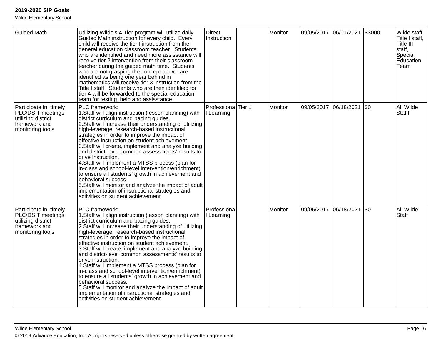Wilde Elementary School

| <b>Guided Math</b>                                                                                    | Utilizing Wilde's 4 Tier program will utilize daily<br>Guided Math instruction for every child. Every<br>child will receive the tier I instruction from the<br>general education classroom teacher. Students<br>who are identified and need more assisstance will<br>receive tier 2 intervention from their classroom<br>teacher during the guided math time. Students<br>who are not grasping the concept and/or are<br>identified as being one year behind in<br>mathematics will receive tier 3 instruction from the<br>Title I staff. Students who are then identified for<br>tier 4 will be forwarded to the special education<br>team for testing, help and assisstance.                                                                                                                          | <b>Direct</b><br>Instruction                | Monitor | 09/05/2017 06/01/2021 |            | \$3000 | Wilde staff,<br>Title I staff,<br>Title III<br>staff,<br>Special<br>Education<br>Team |
|-------------------------------------------------------------------------------------------------------|---------------------------------------------------------------------------------------------------------------------------------------------------------------------------------------------------------------------------------------------------------------------------------------------------------------------------------------------------------------------------------------------------------------------------------------------------------------------------------------------------------------------------------------------------------------------------------------------------------------------------------------------------------------------------------------------------------------------------------------------------------------------------------------------------------|---------------------------------------------|---------|-----------------------|------------|--------|---------------------------------------------------------------------------------------|
| Participate in timely<br>PLC/DSIT meetings<br>utilizing district<br>framework and<br>monitoring tools | PLC framework:<br>1. Staff will align instruction (lesson planning) with<br>district curriculum and pacing guides.<br>2. Staff will increase their understanding of utilizing<br>high-leverage, research-based instructional<br>strategies in order to improve the impact of<br>effective instruction on student achievement.<br>3. Staff will create, implement and analyze building<br>and district-level common assessments' results to<br>drive instruction.<br>4. Staff will implement a MTSS process (plan for<br>in-class and school-level intervention/enrichment)<br>to ensure all students' growth in achievement and<br>behavioral success.<br>5. Staff will monitor and analyze the impact of adult<br>implementation of instructional strategies and<br>activities on student achievement. | Professiona <sup>Tier</sup> 1<br>I Learning | Monitor | 09/05/2017 06/18/2021 |            | I\$0   | All Wilde<br><b>Stafff</b>                                                            |
| Participate in timely<br>PLC/DSIT meetings<br>utilizing district<br>framework and<br>monitoring tools | PLC framework:<br>1. Staff will align instruction (lesson planning) with<br>district curriculum and pacing guides.<br>2. Staff will increase their understanding of utilizing<br>high-leverage, research-based instructional<br>strategies in order to improve the impact of<br>effective instruction on student achievement.<br>3. Staff will create, implement and analyze building<br>and district-level common assessments' results to<br>drive instruction.<br>4. Staff will implement a MTSS process (plan for<br>in-class and school-level intervention/enrichment)<br>to ensure all students' growth in achievement and<br>behavioral success.<br>5. Staff will monitor and analyze the impact of adult<br>implementation of instructional strategies and<br>activities on student achievement. | Professiona<br>I Learning                   | Monitor | 09/05/2017            | 06/18/2021 | I\$0   | All Wilde<br><b>Staff</b>                                                             |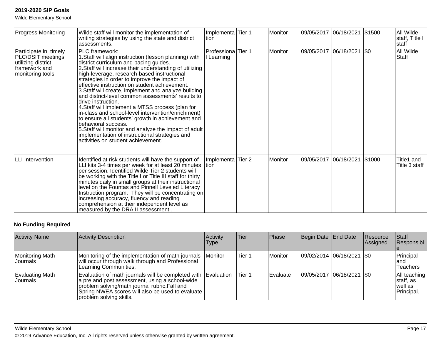Wilde Elementary School

| <b>Progress Monitoring</b>                                                                            | Wilde staff will monitor the implementation of<br>writing strategies by using the state and district<br>assessments.                                                                                                                                                                                                                                                                                                                                                                                                                                                                                                                                                                                                                                                                                    | Implementa Tier 1<br>ltion.      | Monitor        | 09/05/2017 06/18/2021 |            | \$1500 | All Wilde<br>staff, Title I<br>staff |
|-------------------------------------------------------------------------------------------------------|---------------------------------------------------------------------------------------------------------------------------------------------------------------------------------------------------------------------------------------------------------------------------------------------------------------------------------------------------------------------------------------------------------------------------------------------------------------------------------------------------------------------------------------------------------------------------------------------------------------------------------------------------------------------------------------------------------------------------------------------------------------------------------------------------------|----------------------------------|----------------|-----------------------|------------|--------|--------------------------------------|
| Participate in timely<br>PLC/DSIT meetings<br>utilizing district<br>framework and<br>monitoring tools | PLC framework:<br>1. Staff will align instruction (lesson planning) with<br>district curriculum and pacing guides.<br>2. Staff will increase their understanding of utilizing<br>high-leverage, research-based instructional<br>strategies in order to improve the impact of<br>effective instruction on student achievement.<br>3. Staff will create, implement and analyze building<br>and district-level common assessments' results to<br>drive instruction.<br>4. Staff will implement a MTSS process (plan for<br>in-class and school-level intervention/enrichment)<br>to ensure all students' growth in achievement and<br>behavioral success.<br>5. Staff will monitor and analyze the impact of adult<br>implementation of instructional strategies and<br>activities on student achievement. | Professiona Tier 1<br>I Learning | Monitor        | 09/05/2017            | 06/18/2021 | \$0    | All Wilde<br>Staff                   |
| <b>LLI</b> Intervention                                                                               | Identified at risk students will have the support of<br>LLI kits 3-4 times per week for at least 20 minutes<br>per session. Identified Wilde Tier 2 students will<br>be working with the Title I or Title III staff for thirty<br>minutes daily in small groups at their instructional<br>level on the Fountas and Pinnell Leveled Literacy<br>Instruction program. They will be concentrating on<br>increasing accuracy, fluency and reading<br>comprehension at their independent level as<br>measured by the DRA II assessment                                                                                                                                                                                                                                                                       | Implementa Tier 2<br>tion        | <b>Monitor</b> | 09/05/2017            | 06/18/2021 | \$1000 | Title1 and<br>Title 3 staff          |

#### **No Funding Required**

| <b>Activity Name</b>         | Activity Description                                                                                                                                                                                                                           | Activity<br><b>Type</b> | Tier   | <b>Phase</b> | Begin Date End Date        | Resource<br>Assigned | Staff<br>Responsibl                                  |
|------------------------------|------------------------------------------------------------------------------------------------------------------------------------------------------------------------------------------------------------------------------------------------|-------------------------|--------|--------------|----------------------------|----------------------|------------------------------------------------------|
| Monitoring Math<br>IJournals | Monitoring of the implementation of math journals<br>will occur through walk through and Professional<br>Learning Communities.                                                                                                                 | <i>I</i> Monitor        | Tier 1 | Monitor      | 09/02/2014 06/18/2021 \$0  |                      | Principal<br>land<br><b>Teachers</b>                 |
| Evaluating Math<br>IJournals | Evaluation of math journals will be completed with Evaluation<br>a pre and post assessment, using a school-wide<br>problem solving/math journal rubric.Fall and<br>Spring NWEA scores will also be used to evaluate<br>problem solving skills. |                         | Tier 1 | Evaluate     | 09/05/2017 06/18/2021 \\$0 |                      | All teaching<br>∣staff, as<br>lwell as<br>Principal. |